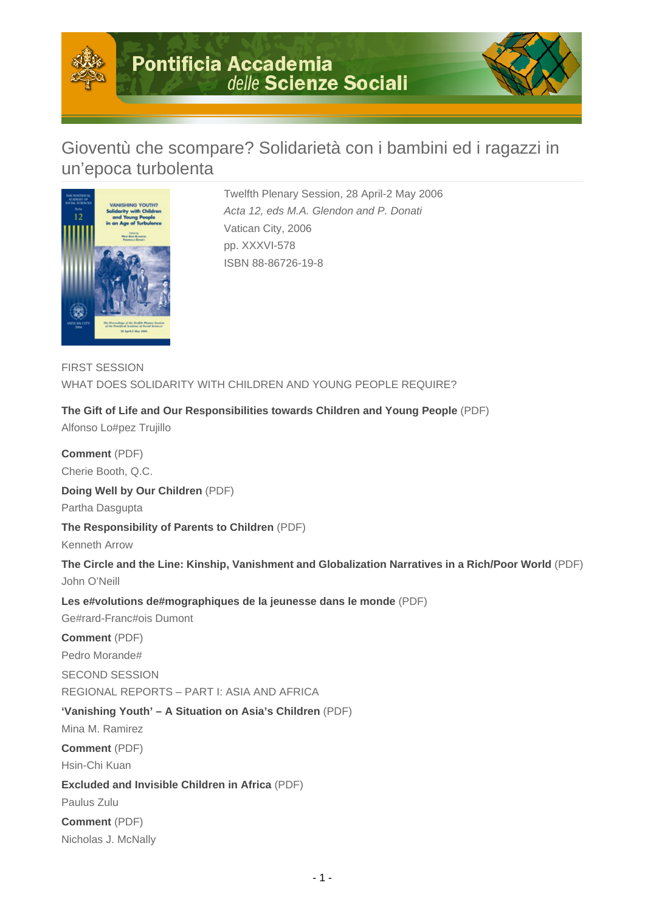

# Gioventù che scompare? Solidarietà con i bambini ed i ragazzi in un'epoca turbolenta



Twelfth Plenary Session, 28 April-2 May 2006 Acta 12, eds M.A. Glendon and P. Donati Vatican City, 2006 pp. XXXVI-578 ISBN 88-86726-19-8

FIRST SESSION WHAT DOES SOLIDARITY WITH CHILDREN AND YOUNG PEOPLE REQUIRE?

**The Gift of Life and Our Responsibilities towards Children and Young People** (PDF)

Alfonso Lo#pez Trujillo

Nicholas J. McNally

**Comment** (PDF) Cherie Booth, Q.C. **Doing Well by Our Children** (PDF) Partha Dasgupta **The Responsibility of Parents to Children** (PDF) Kenneth Arrow **The Circle and the Line: Kinship, Vanishment and Globalization Narratives in a Rich/Poor World** (PDF) John O'Neill **Les e#volutions de#mographiques de la jeunesse dans le monde** (PDF) Ge#rard-Franc#ois Dumont **Comment** (PDF) Pedro Morande# SECOND SESSION REGIONAL REPORTS – PART I: ASIA AND AFRICA **'Vanishing Youth' – A Situation on Asia's Children** (PDF) Mina M. Ramirez **Comment** (PDF) Hsin-Chi Kuan **Excluded and Invisible Children in Africa** (PDF) Paulus Zulu **Comment** (PDF)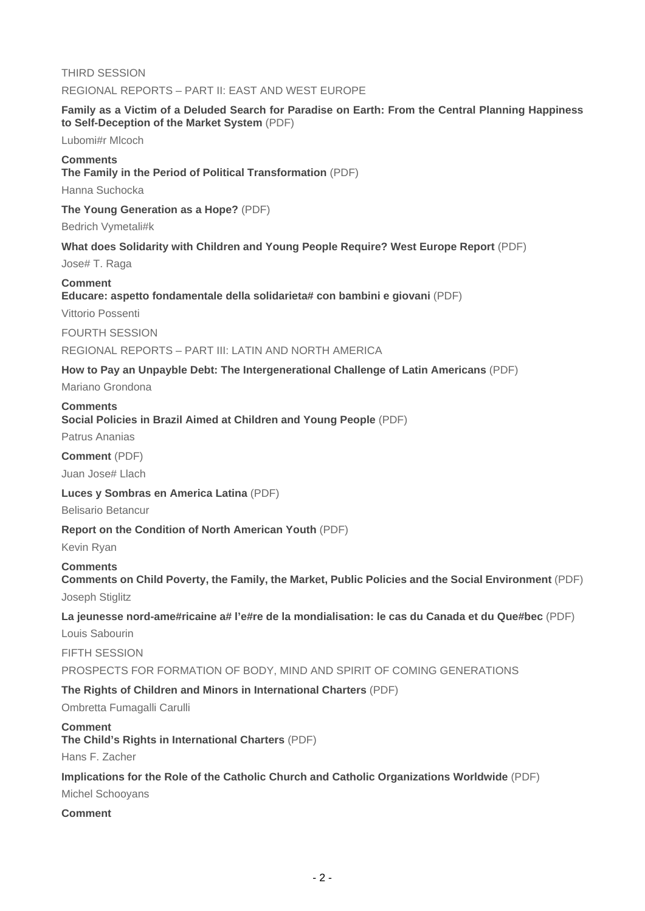THIRD SESSION REGIONAL REPORTS – PART II: EAST AND WEST EUROPE

#### **Family as a Victim of a Deluded Search for Paradise on Earth: From the Central Planning Happiness to Self-Deception of the Market System** (PDF)

Lubomi#r Mlcoch

#### **Comments**

**The Family in the Period of Political Transformation** (PDF)

Hanna Suchocka

**The Young Generation as a Hope?** (PDF)

Bedrich Vymetali#k

#### **What does Solidarity with Children and Young People Require? West Europe Report** (PDF)

Jose# T. Raga

#### **Comment**

**Educare: aspetto fondamentale della solidarieta# con bambini e giovani** (PDF)

Vittorio Possenti

FOURTH SESSION

#### REGIONAL REPORTS – PART III: LATIN AND NORTH AMERICA

#### **How to Pay an Unpayble Debt: The Intergenerational Challenge of Latin Americans** (PDF)

Mariano Grondona

#### **Comments**

**Social Policies in Brazil Aimed at Children and Young People** (PDF)

Patrus Ananias

**Comment** (PDF)

Juan Jose# Llach

#### **Luces y Sombras en America Latina** (PDF)

Belisario Betancur

# **Report on the Condition of North American Youth** (PDF)

Kevin Ryan

### **Comments**

# **Comments on Child Poverty, the Family, the Market, Public Policies and the Social Environment** (PDF)

Joseph Stiglitz

# **La jeunesse nord-ame#ricaine a# l'e#re de la mondialisation: le cas du Canada et du Que#bec** (PDF)

Louis Sabourin

FIFTH SESSION

PROSPECTS FOR FORMATION OF BODY, MIND AND SPIRIT OF COMING GENERATIONS

# **The Rights of Children and Minors in International Charters** (PDF)

Ombretta Fumagalli Carulli

#### **Comment**

**The Child's Rights in International Charters** (PDF)

Hans F. Zacher

# **Implications for the Role of the Catholic Church and Catholic Organizations Worldwide** (PDF)

Michel Schooyans

# **Comment**